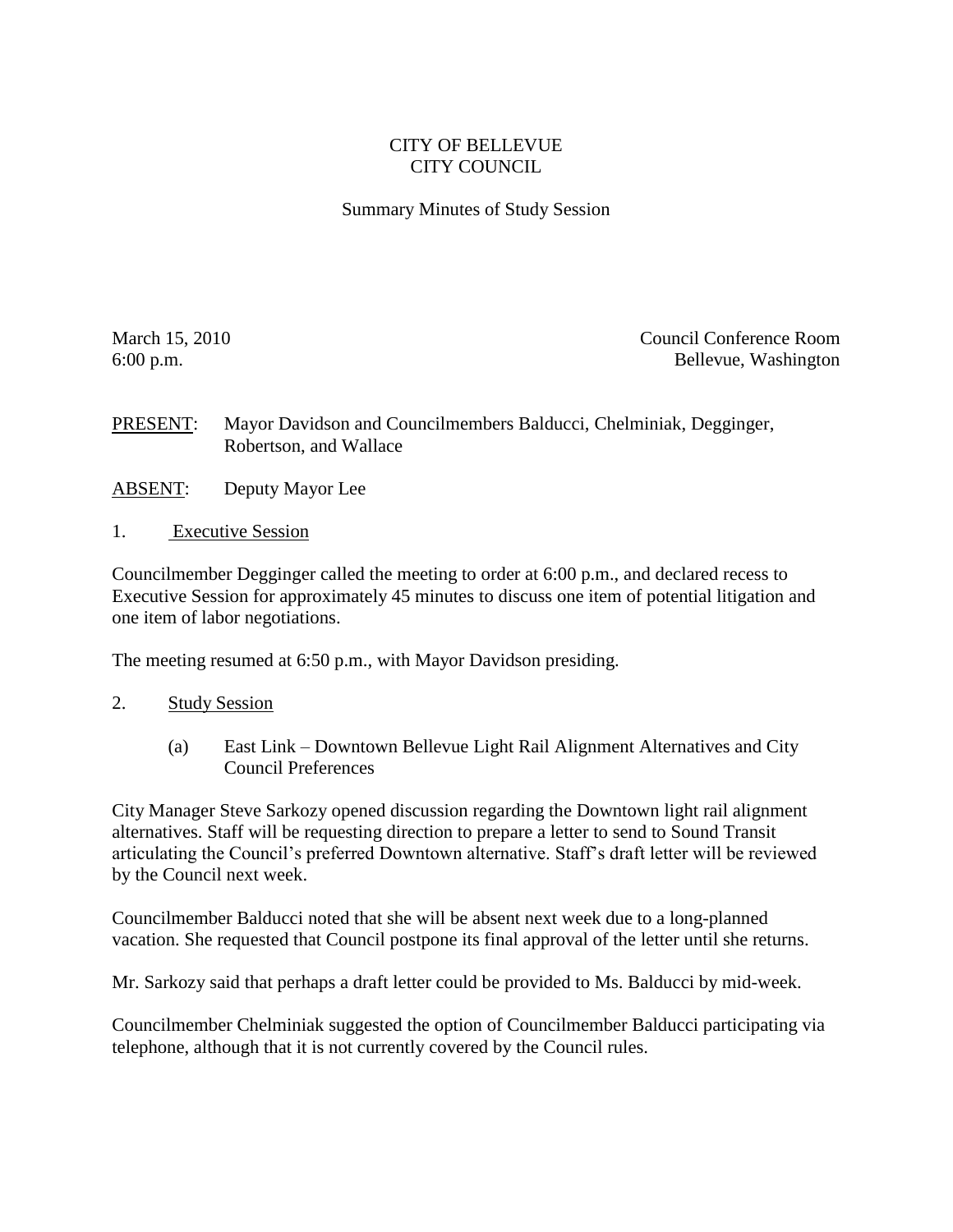## CITY OF BELLEVUE CITY COUNCIL

## Summary Minutes of Study Session

March 15, 2010 Council Conference Room 6:00 p.m. Bellevue, Washington

PRESENT: Mayor Davidson and Councilmembers Balducci, Chelminiak, Degginger, Robertson, and Wallace

- ABSENT: Deputy Mayor Lee
- 1. Executive Session

Councilmember Degginger called the meeting to order at 6:00 p.m., and declared recess to Executive Session for approximately 45 minutes to discuss one item of potential litigation and one item of labor negotiations.

The meeting resumed at 6:50 p.m., with Mayor Davidson presiding.

- 2. Study Session
	- (a) East Link Downtown Bellevue Light Rail Alignment Alternatives and City Council Preferences

City Manager Steve Sarkozy opened discussion regarding the Downtown light rail alignment alternatives. Staff will be requesting direction to prepare a letter to send to Sound Transit articulating the Council's preferred Downtown alternative. Staff's draft letter will be reviewed by the Council next week.

Councilmember Balducci noted that she will be absent next week due to a long-planned vacation. She requested that Council postpone its final approval of the letter until she returns.

Mr. Sarkozy said that perhaps a draft letter could be provided to Ms. Balducci by mid-week.

Councilmember Chelminiak suggested the option of Councilmember Balducci participating via telephone, although that it is not currently covered by the Council rules.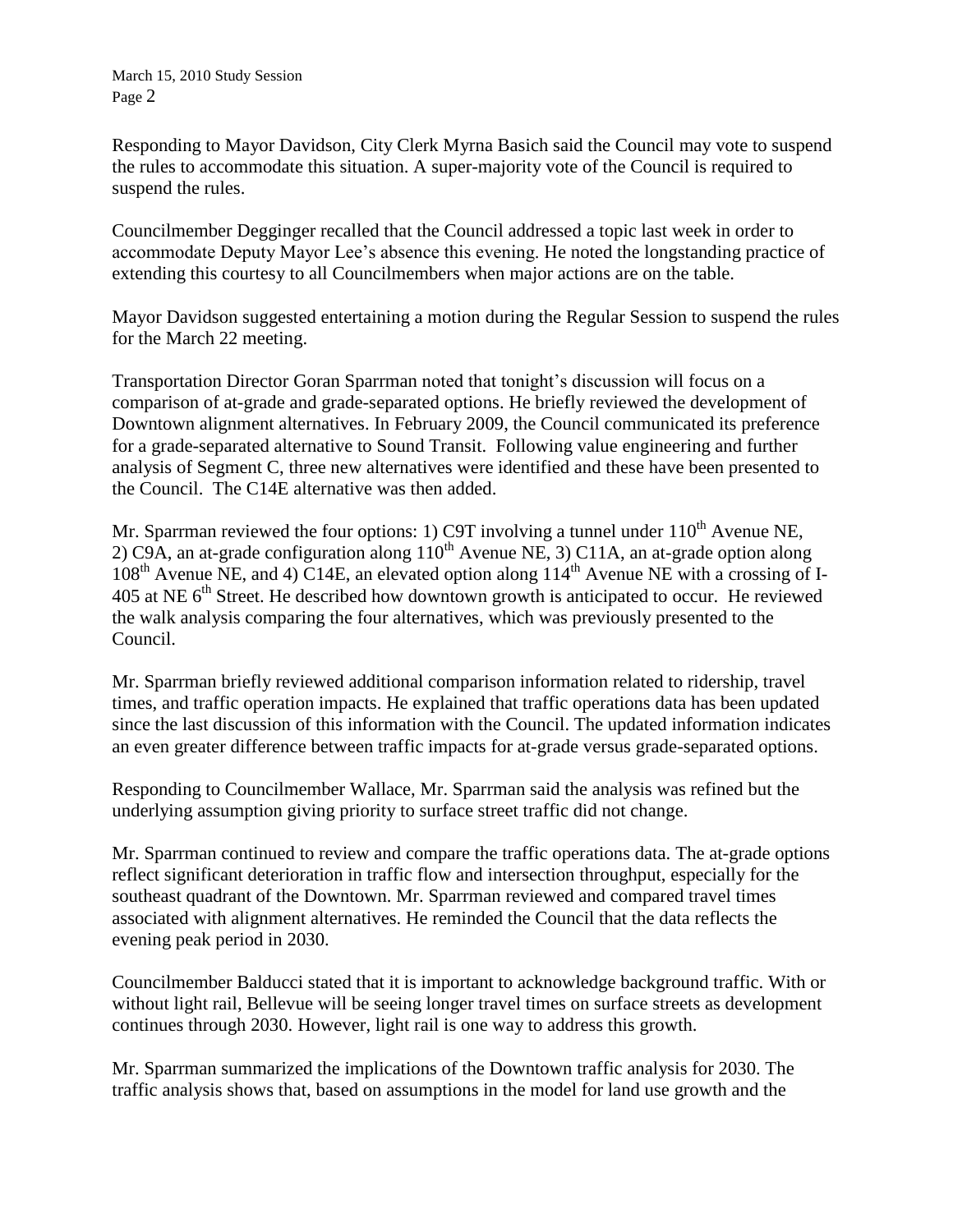Responding to Mayor Davidson, City Clerk Myrna Basich said the Council may vote to suspend the rules to accommodate this situation. A super-majority vote of the Council is required to suspend the rules.

Councilmember Degginger recalled that the Council addressed a topic last week in order to accommodate Deputy Mayor Lee's absence this evening. He noted the longstanding practice of extending this courtesy to all Councilmembers when major actions are on the table.

Mayor Davidson suggested entertaining a motion during the Regular Session to suspend the rules for the March 22 meeting.

Transportation Director Goran Sparrman noted that tonight's discussion will focus on a comparison of at-grade and grade-separated options. He briefly reviewed the development of Downtown alignment alternatives. In February 2009, the Council communicated its preference for a grade-separated alternative to Sound Transit. Following value engineering and further analysis of Segment C, three new alternatives were identified and these have been presented to the Council. The C14E alternative was then added.

Mr. Sparrman reviewed the four options: 1) C9T involving a tunnel under  $110^{th}$  Avenue NE, 2) C9A, an at-grade configuration along  $110^{th}$  Avenue NE, 3) C11A, an at-grade option along  $108<sup>th</sup>$  Avenue NE, and 4) C14E, an elevated option along  $114<sup>th</sup>$  Avenue NE with a crossing of I-405 at NE  $6<sup>th</sup>$  Street. He described how downtown growth is anticipated to occur. He reviewed the walk analysis comparing the four alternatives, which was previously presented to the Council.

Mr. Sparrman briefly reviewed additional comparison information related to ridership, travel times, and traffic operation impacts. He explained that traffic operations data has been updated since the last discussion of this information with the Council. The updated information indicates an even greater difference between traffic impacts for at-grade versus grade-separated options.

Responding to Councilmember Wallace, Mr. Sparrman said the analysis was refined but the underlying assumption giving priority to surface street traffic did not change.

Mr. Sparrman continued to review and compare the traffic operations data. The at-grade options reflect significant deterioration in traffic flow and intersection throughput, especially for the southeast quadrant of the Downtown. Mr. Sparrman reviewed and compared travel times associated with alignment alternatives. He reminded the Council that the data reflects the evening peak period in 2030.

Councilmember Balducci stated that it is important to acknowledge background traffic. With or without light rail, Bellevue will be seeing longer travel times on surface streets as development continues through 2030. However, light rail is one way to address this growth.

Mr. Sparrman summarized the implications of the Downtown traffic analysis for 2030. The traffic analysis shows that, based on assumptions in the model for land use growth and the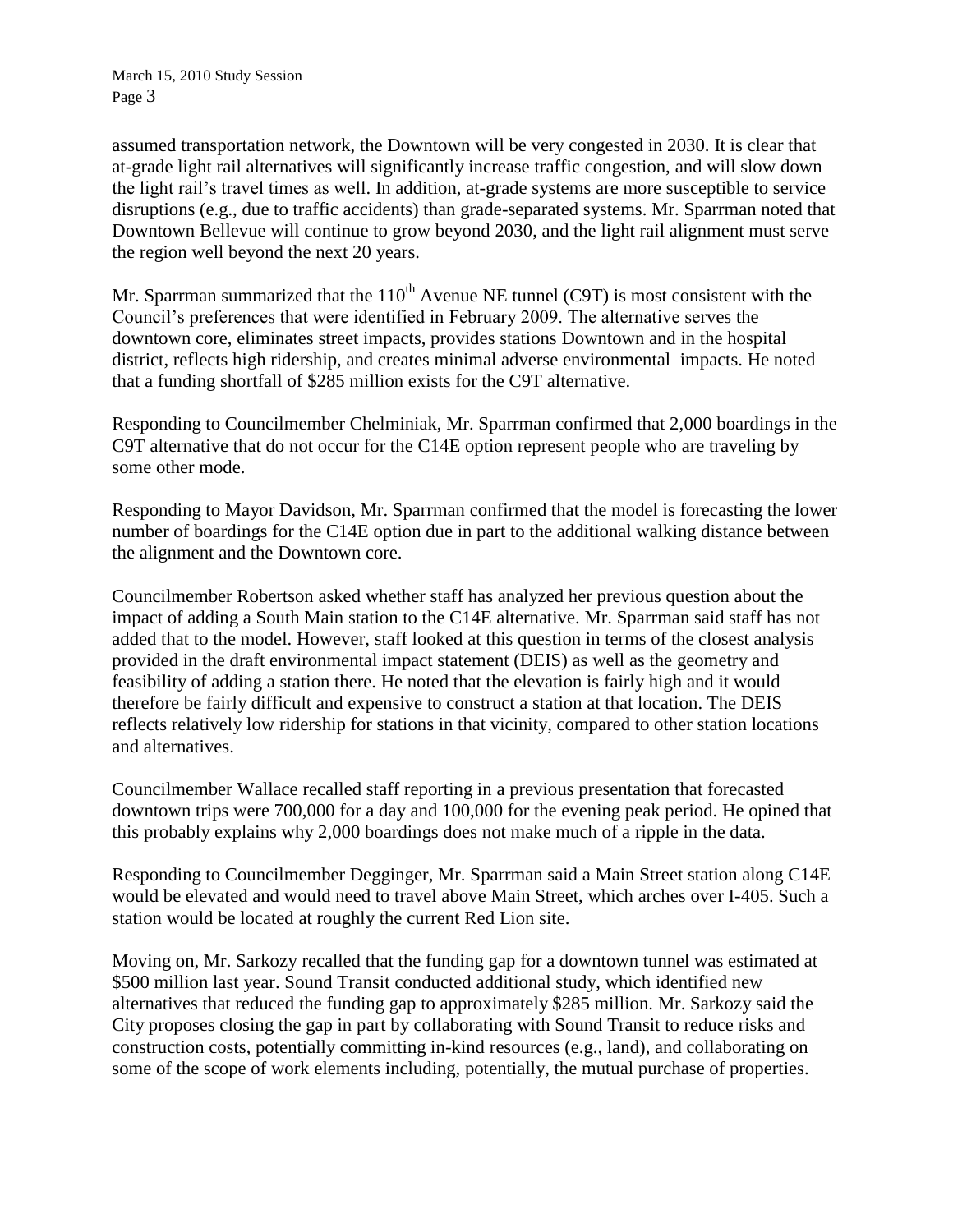assumed transportation network, the Downtown will be very congested in 2030. It is clear that at-grade light rail alternatives will significantly increase traffic congestion, and will slow down the light rail's travel times as well. In addition, at-grade systems are more susceptible to service disruptions (e.g., due to traffic accidents) than grade-separated systems. Mr. Sparrman noted that Downtown Bellevue will continue to grow beyond 2030, and the light rail alignment must serve the region well beyond the next 20 years.

Mr. Sparrman summarized that the  $110<sup>th</sup>$  Avenue NE tunnel (C9T) is most consistent with the Council's preferences that were identified in February 2009. The alternative serves the downtown core, eliminates street impacts, provides stations Downtown and in the hospital district, reflects high ridership, and creates minimal adverse environmental impacts. He noted that a funding shortfall of \$285 million exists for the C9T alternative.

Responding to Councilmember Chelminiak, Mr. Sparrman confirmed that 2,000 boardings in the C9T alternative that do not occur for the C14E option represent people who are traveling by some other mode.

Responding to Mayor Davidson, Mr. Sparrman confirmed that the model is forecasting the lower number of boardings for the C14E option due in part to the additional walking distance between the alignment and the Downtown core.

Councilmember Robertson asked whether staff has analyzed her previous question about the impact of adding a South Main station to the C14E alternative. Mr. Sparrman said staff has not added that to the model. However, staff looked at this question in terms of the closest analysis provided in the draft environmental impact statement (DEIS) as well as the geometry and feasibility of adding a station there. He noted that the elevation is fairly high and it would therefore be fairly difficult and expensive to construct a station at that location. The DEIS reflects relatively low ridership for stations in that vicinity, compared to other station locations and alternatives.

Councilmember Wallace recalled staff reporting in a previous presentation that forecasted downtown trips were 700,000 for a day and 100,000 for the evening peak period. He opined that this probably explains why 2,000 boardings does not make much of a ripple in the data.

Responding to Councilmember Degginger, Mr. Sparrman said a Main Street station along C14E would be elevated and would need to travel above Main Street, which arches over I-405. Such a station would be located at roughly the current Red Lion site.

Moving on, Mr. Sarkozy recalled that the funding gap for a downtown tunnel was estimated at \$500 million last year. Sound Transit conducted additional study, which identified new alternatives that reduced the funding gap to approximately \$285 million. Mr. Sarkozy said the City proposes closing the gap in part by collaborating with Sound Transit to reduce risks and construction costs, potentially committing in-kind resources (e.g., land), and collaborating on some of the scope of work elements including, potentially, the mutual purchase of properties.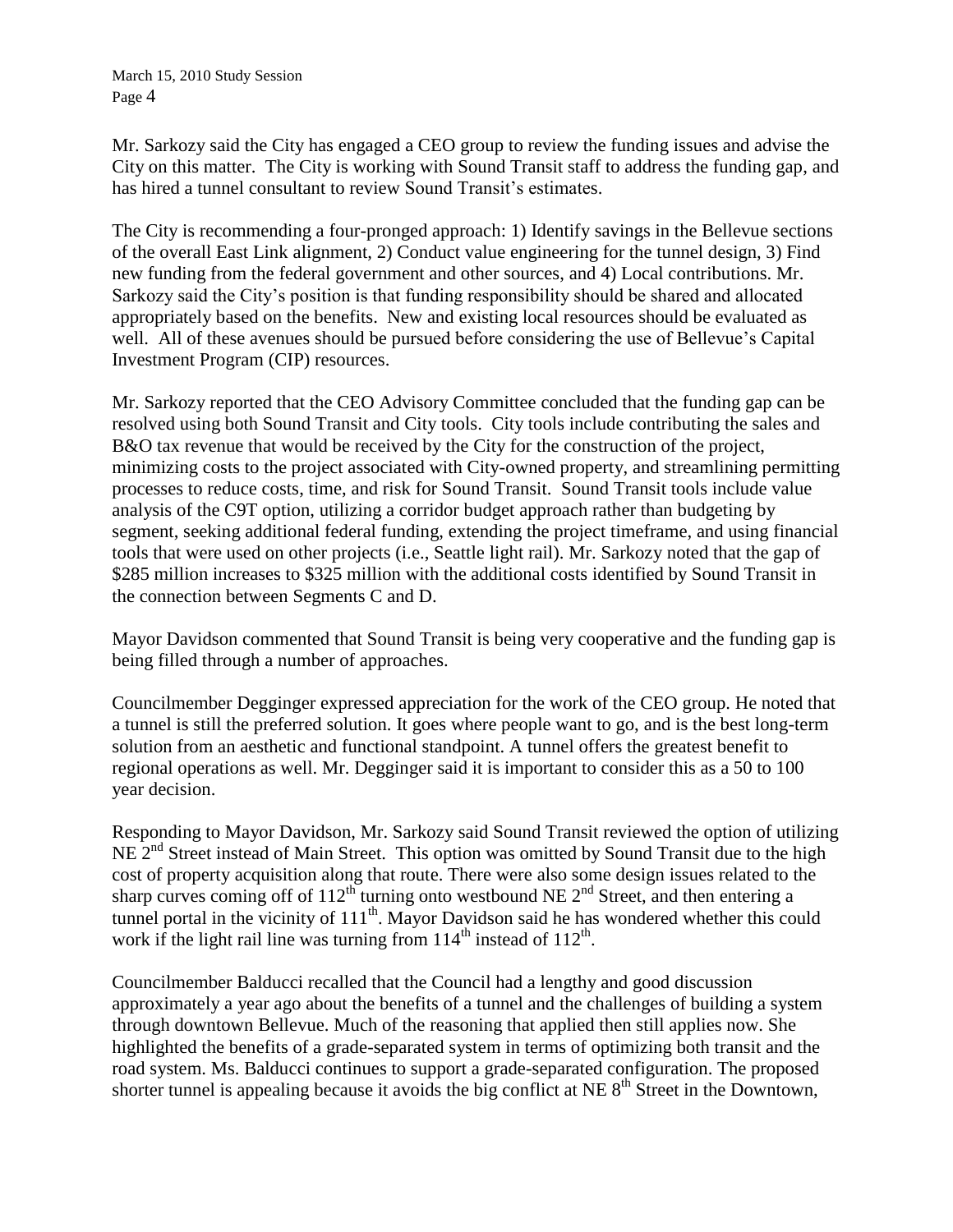Mr. Sarkozy said the City has engaged a CEO group to review the funding issues and advise the City on this matter. The City is working with Sound Transit staff to address the funding gap, and has hired a tunnel consultant to review Sound Transit's estimates.

The City is recommending a four-pronged approach: 1) Identify savings in the Bellevue sections of the overall East Link alignment, 2) Conduct value engineering for the tunnel design, 3) Find new funding from the federal government and other sources, and 4) Local contributions. Mr. Sarkozy said the City's position is that funding responsibility should be shared and allocated appropriately based on the benefits. New and existing local resources should be evaluated as well. All of these avenues should be pursued before considering the use of Bellevue's Capital Investment Program (CIP) resources.

Mr. Sarkozy reported that the CEO Advisory Committee concluded that the funding gap can be resolved using both Sound Transit and City tools. City tools include contributing the sales and B&O tax revenue that would be received by the City for the construction of the project, minimizing costs to the project associated with City-owned property, and streamlining permitting processes to reduce costs, time, and risk for Sound Transit. Sound Transit tools include value analysis of the C9T option, utilizing a corridor budget approach rather than budgeting by segment, seeking additional federal funding, extending the project timeframe, and using financial tools that were used on other projects (i.e., Seattle light rail). Mr. Sarkozy noted that the gap of \$285 million increases to \$325 million with the additional costs identified by Sound Transit in the connection between Segments C and D.

Mayor Davidson commented that Sound Transit is being very cooperative and the funding gap is being filled through a number of approaches.

Councilmember Degginger expressed appreciation for the work of the CEO group. He noted that a tunnel is still the preferred solution. It goes where people want to go, and is the best long-term solution from an aesthetic and functional standpoint. A tunnel offers the greatest benefit to regional operations as well. Mr. Degginger said it is important to consider this as a 50 to 100 year decision.

Responding to Mayor Davidson, Mr. Sarkozy said Sound Transit reviewed the option of utilizing NE 2<sup>nd</sup> Street instead of Main Street. This option was omitted by Sound Transit due to the high cost of property acquisition along that route. There were also some design issues related to the sharp curves coming off of  $112^{th}$  turning onto westbound NE  $2^{nd}$  Street, and then entering a tunnel portal in the vicinity of  $111<sup>th</sup>$ . Mayor Davidson said he has wondered whether this could work if the light rail line was turning from  $114^{\text{th}}$  instead of  $112^{\text{th}}$ .

Councilmember Balducci recalled that the Council had a lengthy and good discussion approximately a year ago about the benefits of a tunnel and the challenges of building a system through downtown Bellevue. Much of the reasoning that applied then still applies now. She highlighted the benefits of a grade-separated system in terms of optimizing both transit and the road system. Ms. Balducci continues to support a grade-separated configuration. The proposed shorter tunnel is appealing because it avoids the big conflict at NE  $8<sup>th</sup>$  Street in the Downtown,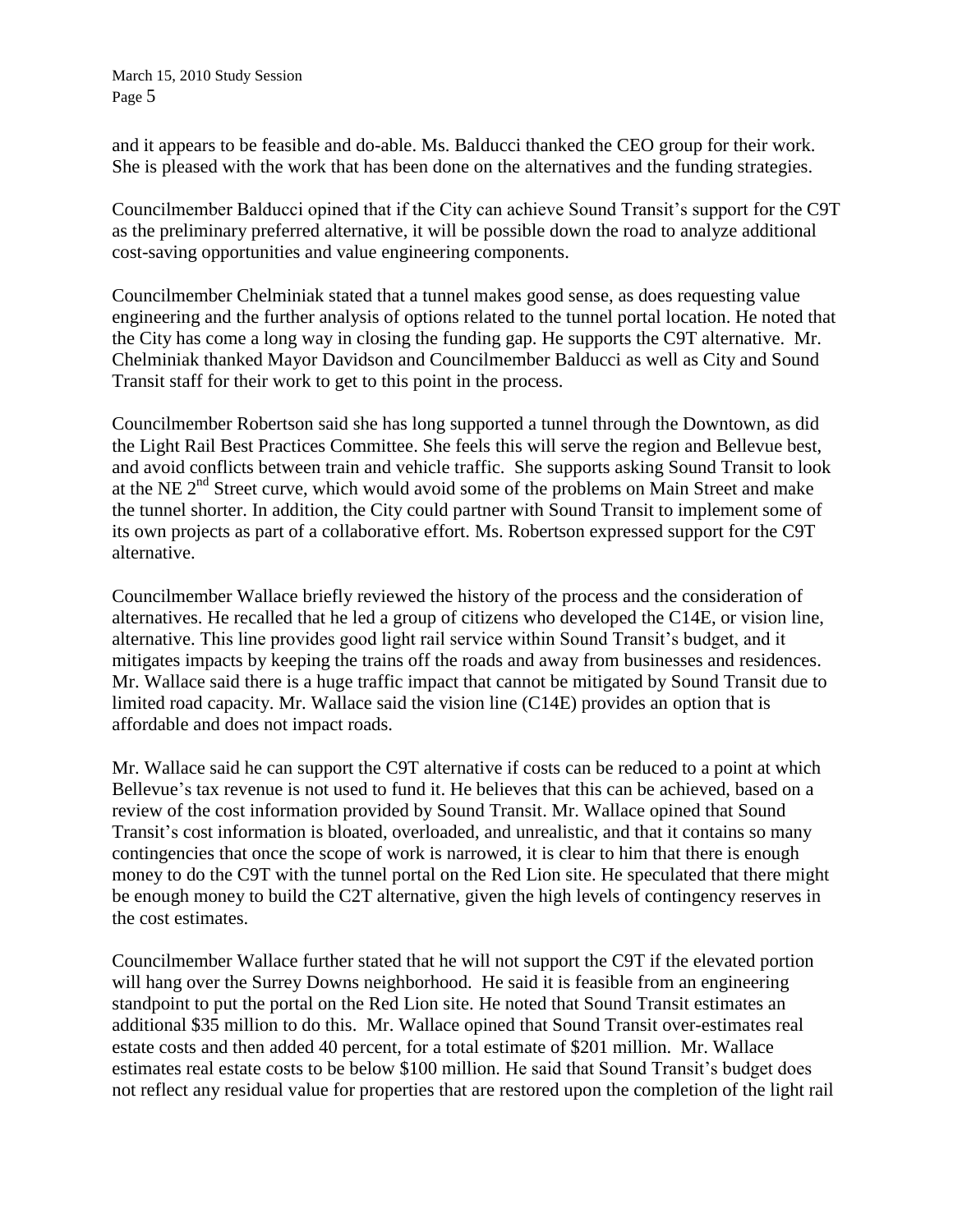and it appears to be feasible and do-able. Ms. Balducci thanked the CEO group for their work. She is pleased with the work that has been done on the alternatives and the funding strategies.

Councilmember Balducci opined that if the City can achieve Sound Transit's support for the C9T as the preliminary preferred alternative, it will be possible down the road to analyze additional cost-saving opportunities and value engineering components.

Councilmember Chelminiak stated that a tunnel makes good sense, as does requesting value engineering and the further analysis of options related to the tunnel portal location. He noted that the City has come a long way in closing the funding gap. He supports the C9T alternative. Mr. Chelminiak thanked Mayor Davidson and Councilmember Balducci as well as City and Sound Transit staff for their work to get to this point in the process.

Councilmember Robertson said she has long supported a tunnel through the Downtown, as did the Light Rail Best Practices Committee. She feels this will serve the region and Bellevue best, and avoid conflicts between train and vehicle traffic. She supports asking Sound Transit to look at the NE  $2<sup>nd</sup>$  Street curve, which would avoid some of the problems on Main Street and make the tunnel shorter. In addition, the City could partner with Sound Transit to implement some of its own projects as part of a collaborative effort. Ms. Robertson expressed support for the C9T alternative.

Councilmember Wallace briefly reviewed the history of the process and the consideration of alternatives. He recalled that he led a group of citizens who developed the C14E, or vision line, alternative. This line provides good light rail service within Sound Transit's budget, and it mitigates impacts by keeping the trains off the roads and away from businesses and residences. Mr. Wallace said there is a huge traffic impact that cannot be mitigated by Sound Transit due to limited road capacity. Mr. Wallace said the vision line (C14E) provides an option that is affordable and does not impact roads.

Mr. Wallace said he can support the C9T alternative if costs can be reduced to a point at which Bellevue's tax revenue is not used to fund it. He believes that this can be achieved, based on a review of the cost information provided by Sound Transit. Mr. Wallace opined that Sound Transit's cost information is bloated, overloaded, and unrealistic, and that it contains so many contingencies that once the scope of work is narrowed, it is clear to him that there is enough money to do the C9T with the tunnel portal on the Red Lion site. He speculated that there might be enough money to build the C2T alternative, given the high levels of contingency reserves in the cost estimates.

Councilmember Wallace further stated that he will not support the C9T if the elevated portion will hang over the Surrey Downs neighborhood. He said it is feasible from an engineering standpoint to put the portal on the Red Lion site. He noted that Sound Transit estimates an additional \$35 million to do this. Mr. Wallace opined that Sound Transit over-estimates real estate costs and then added 40 percent, for a total estimate of \$201 million. Mr. Wallace estimates real estate costs to be below \$100 million. He said that Sound Transit's budget does not reflect any residual value for properties that are restored upon the completion of the light rail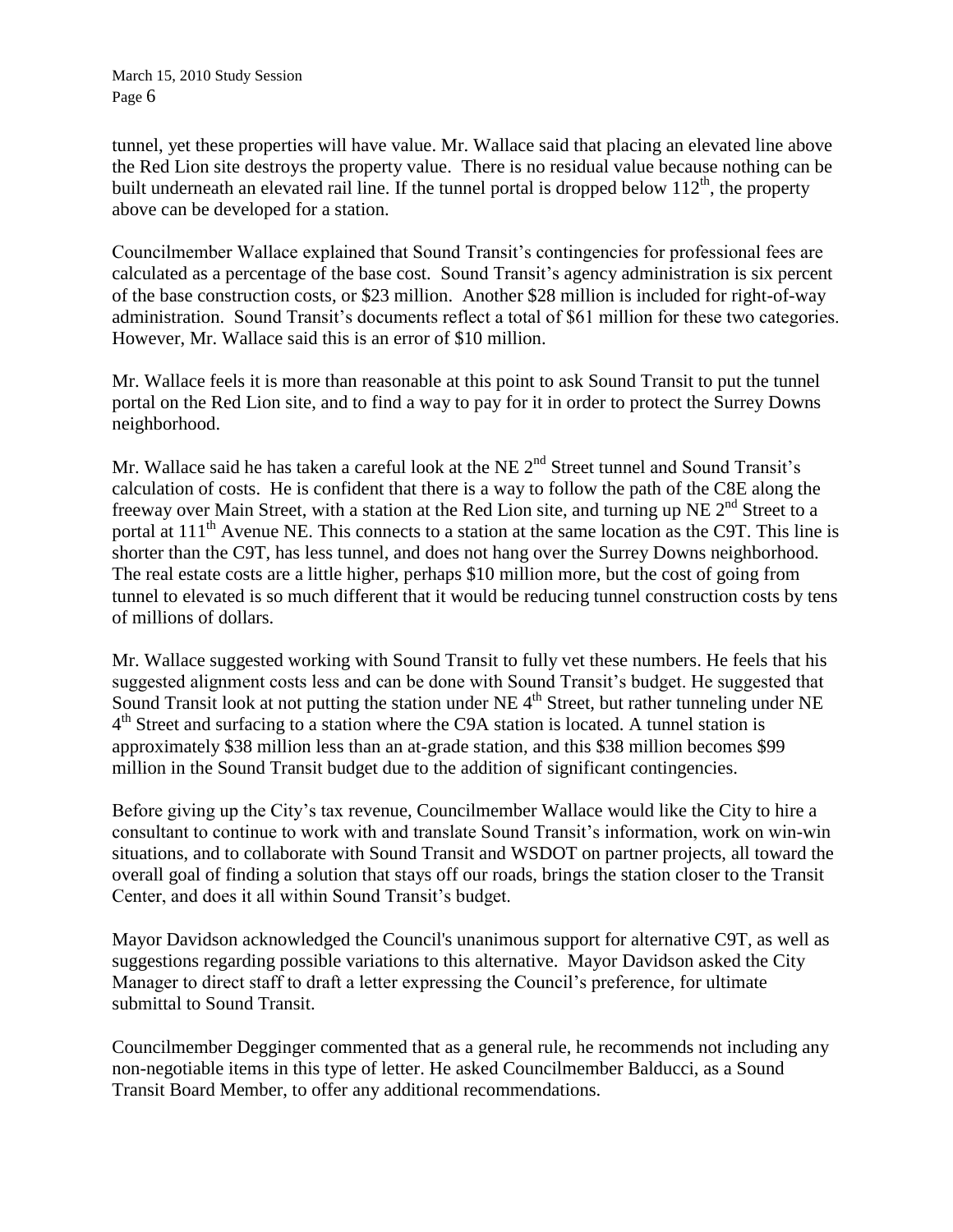tunnel, yet these properties will have value. Mr. Wallace said that placing an elevated line above the Red Lion site destroys the property value. There is no residual value because nothing can be built underneath an elevated rail line. If the tunnel portal is dropped below  $112<sup>th</sup>$ , the property above can be developed for a station.

Councilmember Wallace explained that Sound Transit's contingencies for professional fees are calculated as a percentage of the base cost. Sound Transit's agency administration is six percent of the base construction costs, or \$23 million. Another \$28 million is included for right-of-way administration. Sound Transit's documents reflect a total of \$61 million for these two categories. However, Mr. Wallace said this is an error of \$10 million.

Mr. Wallace feels it is more than reasonable at this point to ask Sound Transit to put the tunnel portal on the Red Lion site, and to find a way to pay for it in order to protect the Surrey Downs neighborhood.

Mr. Wallace said he has taken a careful look at the NE 2<sup>nd</sup> Street tunnel and Sound Transit's calculation of costs. He is confident that there is a way to follow the path of the C8E along the freeway over Main Street, with a station at the Red Lion site, and turning up NE  $2<sup>nd</sup>$  Street to a portal at 111<sup>th</sup> Avenue NE. This connects to a station at the same location as the C9T. This line is shorter than the C9T, has less tunnel, and does not hang over the Surrey Downs neighborhood. The real estate costs are a little higher, perhaps \$10 million more, but the cost of going from tunnel to elevated is so much different that it would be reducing tunnel construction costs by tens of millions of dollars.

Mr. Wallace suggested working with Sound Transit to fully vet these numbers. He feels that his suggested alignment costs less and can be done with Sound Transit's budget. He suggested that Sound Transit look at not putting the station under NE 4<sup>th</sup> Street, but rather tunneling under NE 4<sup>th</sup> Street and surfacing to a station where the C9A station is located. A tunnel station is approximately \$38 million less than an at-grade station, and this \$38 million becomes \$99 million in the Sound Transit budget due to the addition of significant contingencies.

Before giving up the City's tax revenue, Councilmember Wallace would like the City to hire a consultant to continue to work with and translate Sound Transit's information, work on win-win situations, and to collaborate with Sound Transit and WSDOT on partner projects, all toward the overall goal of finding a solution that stays off our roads, brings the station closer to the Transit Center, and does it all within Sound Transit's budget.

Mayor Davidson acknowledged the Council's unanimous support for alternative C9T, as well as suggestions regarding possible variations to this alternative. Mayor Davidson asked the City Manager to direct staff to draft a letter expressing the Council's preference, for ultimate submittal to Sound Transit.

Councilmember Degginger commented that as a general rule, he recommends not including any non-negotiable items in this type of letter. He asked Councilmember Balducci, as a Sound Transit Board Member, to offer any additional recommendations.